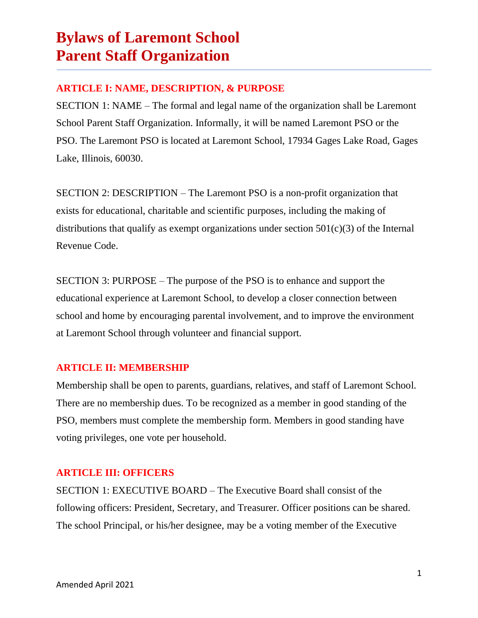### **ARTICLE I: NAME, DESCRIPTION, & PURPOSE**

SECTION 1: NAME – The formal and legal name of the organization shall be Laremont School Parent Staff Organization. Informally, it will be named Laremont PSO or the PSO. The Laremont PSO is located at Laremont School, 17934 Gages Lake Road, Gages Lake, Illinois, 60030.

SECTION 2: DESCRIPTION – The Laremont PSO is a non-profit organization that exists for educational, charitable and scientific purposes, including the making of distributions that qualify as exempt organizations under section  $501(c)(3)$  of the Internal Revenue Code.

SECTION 3: PURPOSE – The purpose of the PSO is to enhance and support the educational experience at Laremont School, to develop a closer connection between school and home by encouraging parental involvement, and to improve the environment at Laremont School through volunteer and financial support.

### **ARTICLE II: MEMBERSHIP**

Membership shall be open to parents, guardians, relatives, and staff of Laremont School. There are no membership dues. To be recognized as a member in good standing of the PSO, members must complete the membership form. Members in good standing have voting privileges, one vote per household.

#### **ARTICLE III: OFFICERS**

SECTION 1: EXECUTIVE BOARD – The Executive Board shall consist of the following officers: President, Secretary, and Treasurer. Officer positions can be shared. The school Principal, or his/her designee, may be a voting member of the Executive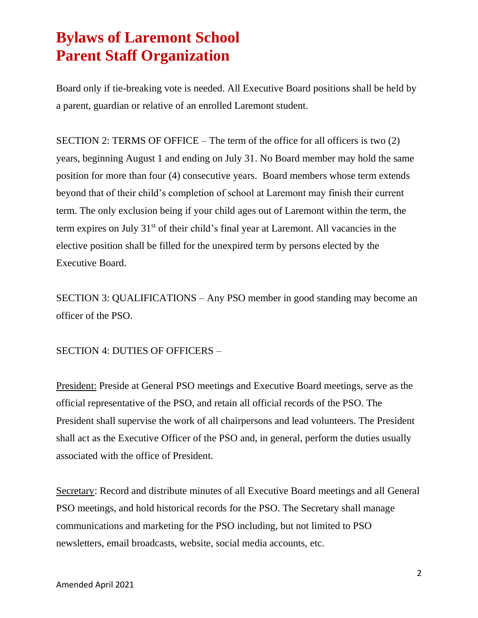Board only if tie-breaking vote is needed. All Executive Board positions shall be held by a parent, guardian or relative of an enrolled Laremont student.

SECTION 2: TERMS OF OFFICE – The term of the office for all officers is two (2) years, beginning August 1 and ending on July 31. No Board member may hold the same position for more than four (4) consecutive years. Board members whose term extends beyond that of their child's completion of school at Laremont may finish their current term. The only exclusion being if your child ages out of Laremont within the term, the term expires on July 31<sup>st</sup> of their child's final year at Laremont. All vacancies in the elective position shall be filled for the unexpired term by persons elected by the Executive Board.

SECTION 3: QUALIFICATIONS – Any PSO member in good standing may become an officer of the PSO.

SECTION 4: DUTIES OF OFFICERS –

President: Preside at General PSO meetings and Executive Board meetings, serve as the official representative of the PSO, and retain all official records of the PSO. The President shall supervise the work of all chairpersons and lead volunteers. The President shall act as the Executive Officer of the PSO and, in general, perform the duties usually associated with the office of President.

Secretary: Record and distribute minutes of all Executive Board meetings and all General PSO meetings, and hold historical records for the PSO. The Secretary shall manage communications and marketing for the PSO including, but not limited to PSO newsletters, email broadcasts, website, social media accounts, etc.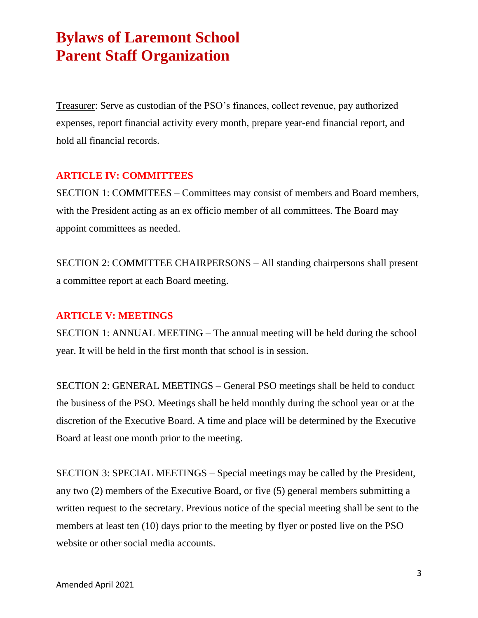Treasurer: Serve as custodian of the PSO's finances, collect revenue, pay authorized expenses, report financial activity every month, prepare year-end financial report, and hold all financial records.

#### **ARTICLE IV: COMMITTEES**

SECTION 1: COMMITEES – Committees may consist of members and Board members, with the President acting as an ex officio member of all committees. The Board may appoint committees as needed.

SECTION 2: COMMITTEE CHAIRPERSONS – All standing chairpersons shall present a committee report at each Board meeting.

#### **ARTICLE V: MEETINGS**

SECTION 1: ANNUAL MEETING – The annual meeting will be held during the school year. It will be held in the first month that school is in session.

SECTION 2: GENERAL MEETINGS – General PSO meetings shall be held to conduct the business of the PSO. Meetings shall be held monthly during the school year or at the discretion of the Executive Board. A time and place will be determined by the Executive Board at least one month prior to the meeting.

SECTION 3: SPECIAL MEETINGS – Special meetings may be called by the President, any two (2) members of the Executive Board, or five (5) general members submitting a written request to the secretary. Previous notice of the special meeting shall be sent to the members at least ten (10) days prior to the meeting by flyer or posted live on the PSO website or other social media accounts.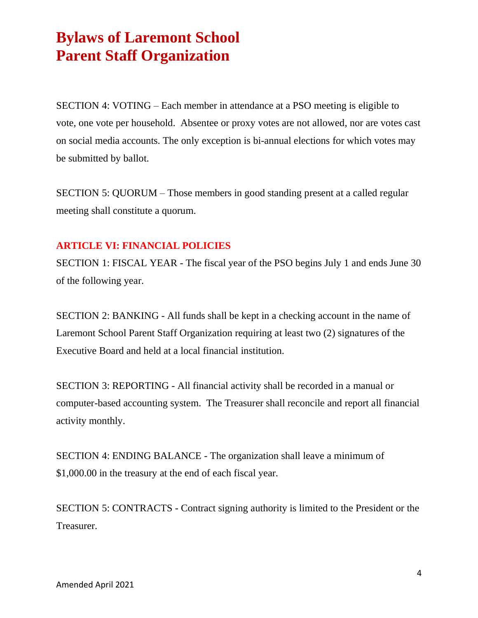SECTION 4: VOTING – Each member in attendance at a PSO meeting is eligible to vote, one vote per household. Absentee or proxy votes are not allowed, nor are votes cast on social media accounts. The only exception is bi-annual elections for which votes may be submitted by ballot.

SECTION 5: QUORUM – Those members in good standing present at a called regular meeting shall constitute a quorum.

#### **ARTICLE VI: FINANCIAL POLICIES**

SECTION 1: FISCAL YEAR - The fiscal year of the PSO begins July 1 and ends June 30 of the following year.

SECTION 2: BANKING - All funds shall be kept in a checking account in the name of Laremont School Parent Staff Organization requiring at least two (2) signatures of the Executive Board and held at a local financial institution.

SECTION 3: REPORTING - All financial activity shall be recorded in a manual or computer-based accounting system. The Treasurer shall reconcile and report all financial activity monthly.

SECTION 4: ENDING BALANCE - The organization shall leave a minimum of \$1,000.00 in the treasury at the end of each fiscal year.

SECTION 5: CONTRACTS - Contract signing authority is limited to the President or the Treasurer.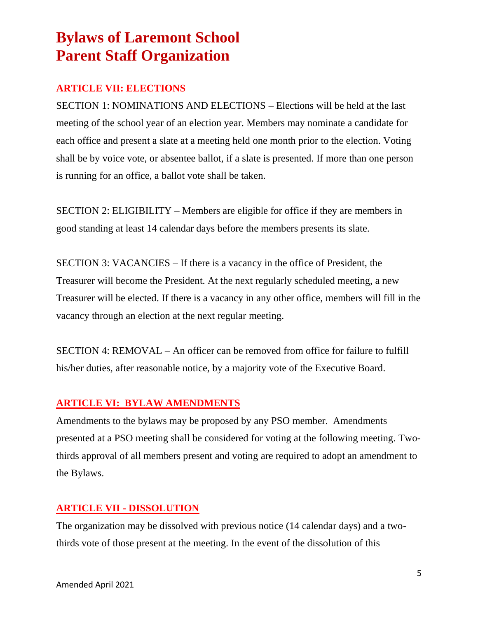### **ARTICLE VII: ELECTIONS**

SECTION 1: NOMINATIONS AND ELECTIONS – Elections will be held at the last meeting of the school year of an election year. Members may nominate a candidate for each office and present a slate at a meeting held one month prior to the election. Voting shall be by voice vote, or absentee ballot, if a slate is presented. If more than one person is running for an office, a ballot vote shall be taken.

SECTION 2: ELIGIBILITY – Members are eligible for office if they are members in good standing at least 14 calendar days before the members presents its slate.

SECTION 3: VACANCIES – If there is a vacancy in the office of President, the Treasurer will become the President. At the next regularly scheduled meeting, a new Treasurer will be elected. If there is a vacancy in any other office, members will fill in the vacancy through an election at the next regular meeting.

SECTION 4: REMOVAL – An officer can be removed from office for failure to fulfill his/her duties, after reasonable notice, by a majority vote of the Executive Board.

### **ARTICLE VI: BYLAW AMENDMENTS**

Amendments to the bylaws may be proposed by any PSO member. Amendments presented at a PSO meeting shall be considered for voting at the following meeting. Twothirds approval of all members present and voting are required to adopt an amendment to the Bylaws.

#### **ARTICLE VII - DISSOLUTION**

The organization may be dissolved with previous notice (14 calendar days) and a twothirds vote of those present at the meeting. In the event of the dissolution of this